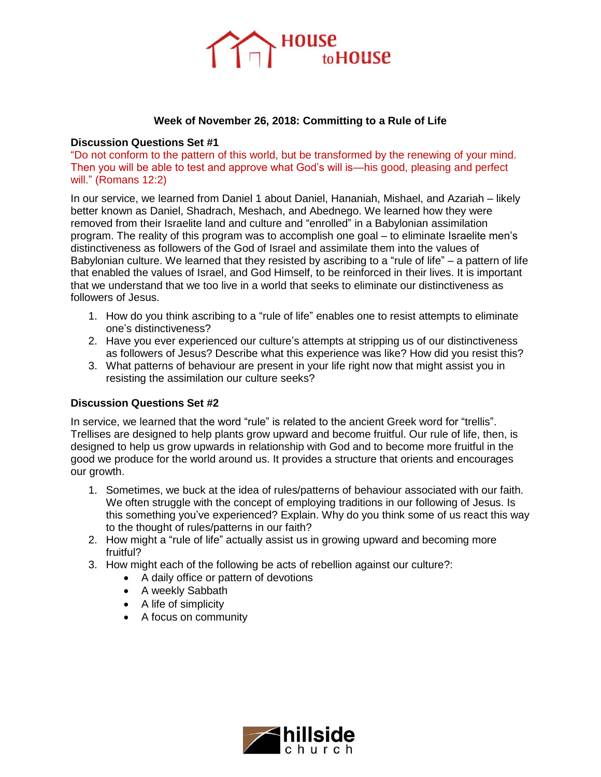

## **Week of November 26, 2018: Committing to a Rule of Life**

## **Discussion Questions Set #1**

"Do not conform to the pattern of this world, but be transformed by the renewing of your mind. Then you will be able to test and approve what God's will is—his good, pleasing and perfect will." (Romans 12:2)

In our service, we learned from Daniel 1 about Daniel, Hananiah, Mishael, and Azariah – likely better known as Daniel, Shadrach, Meshach, and Abednego. We learned how they were removed from their Israelite land and culture and "enrolled" in a Babylonian assimilation program. The reality of this program was to accomplish one goal – to eliminate Israelite men's distinctiveness as followers of the God of Israel and assimilate them into the values of Babylonian culture. We learned that they resisted by ascribing to a "rule of life" – a pattern of life that enabled the values of Israel, and God Himself, to be reinforced in their lives. It is important that we understand that we too live in a world that seeks to eliminate our distinctiveness as followers of Jesus.

- 1. How do you think ascribing to a "rule of life" enables one to resist attempts to eliminate one's distinctiveness?
- 2. Have you ever experienced our culture's attempts at stripping us of our distinctiveness as followers of Jesus? Describe what this experience was like? How did you resist this?
- 3. What patterns of behaviour are present in your life right now that might assist you in resisting the assimilation our culture seeks?

## **Discussion Questions Set #2**

In service, we learned that the word "rule" is related to the ancient Greek word for "trellis". Trellises are designed to help plants grow upward and become fruitful. Our rule of life, then, is designed to help us grow upwards in relationship with God and to become more fruitful in the good we produce for the world around us. It provides a structure that orients and encourages our growth.

- 1. Sometimes, we buck at the idea of rules/patterns of behaviour associated with our faith. We often struggle with the concept of employing traditions in our following of Jesus. Is this something you've experienced? Explain. Why do you think some of us react this way to the thought of rules/patterns in our faith?
- 2. How might a "rule of life" actually assist us in growing upward and becoming more fruitful?
- 3. How might each of the following be acts of rebellion against our culture?:
	- A daily office or pattern of devotions
	- A weekly Sabbath
	- A life of simplicity
	- A focus on community